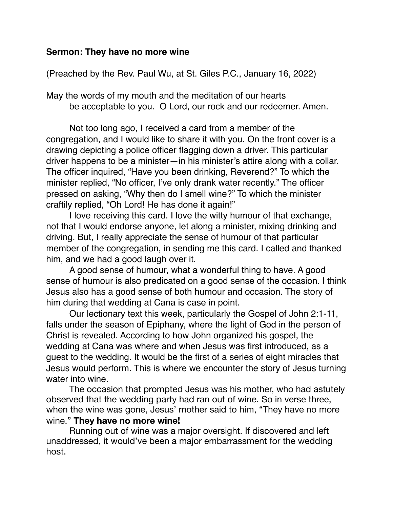## **Sermon: They have no more wine**

(Preached by the Rev. Paul Wu, at St. Giles P.C., January 16, 2022)

May the words of my mouth and the meditation of our hearts be acceptable to you. O Lord, our rock and our redeemer. Amen.

Not too long ago, I received a card from a member of the congregation, and I would like to share it with you. On the front cover is a drawing depicting a police officer flagging down a driver. This particular driver happens to be a minister—in his minister's attire along with a collar. The officer inquired, "Have you been drinking, Reverend?" To which the minister replied, "No officer, I've only drank water recently." The officer pressed on asking, "Why then do I smell wine?" To which the minister craftily replied, "Oh Lord! He has done it again!"

I love receiving this card. I love the witty humour of that exchange, not that I would endorse anyone, let along a minister, mixing drinking and driving. But, I really appreciate the sense of humour of that particular member of the congregation, in sending me this card. I called and thanked him, and we had a good laugh over it.

A good sense of humour, what a wonderful thing to have. A good sense of humour is also predicated on a good sense of the occasion. I think Jesus also has a good sense of both humour and occasion. The story of him during that wedding at Cana is case in point.

Our lectionary text this week, particularly the Gospel of John 2:1-11, falls under the season of Epiphany, where the light of God in the person of Christ is revealed. According to how John organized his gospel, the wedding at Cana was where and when Jesus was first introduced, as a guest to the wedding. It would be the first of a series of eight miracles that Jesus would perform. This is where we encounter the story of Jesus turning water into wine.

The occasion that prompted Jesus was his mother, who had astutely observed that the wedding party had ran out of wine. So in verse three, when the wine was gone, Jesus' mother said to him, "They have no more wine." **They have no more wine!**

Running out of wine was a major oversight. If discovered and left unaddressed, it would've been a major embarrassment for the wedding host.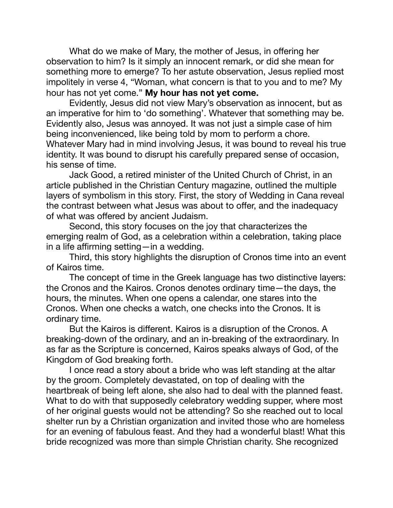What do we make of Mary, the mother of Jesus, in offering her observation to him? Is it simply an innocent remark, or did she mean for something more to emerge? To her astute observation, Jesus replied most impolitely in verse 4, "Woman, what concern is that to you and to me? My hour has not yet come." **My hour has not yet come.** 

Evidently, Jesus did not view Mary's observation as innocent, but as an imperative for him to 'do something'. Whatever that something may be. Evidently also, Jesus was annoyed. It was not just a simple case of him being inconvenienced, like being told by mom to perform a chore. Whatever Mary had in mind involving Jesus, it was bound to reveal his true identity. It was bound to disrupt his carefully prepared sense of occasion, his sense of time.

Jack Good, a retired minister of the United Church of Christ, in an article published in the Christian Century magazine, outlined the multiple layers of symbolism in this story. First, the story of Wedding in Cana reveal the contrast between what Jesus was about to offer, and the inadequacy of what was offered by ancient Judaism.

Second, this story focuses on the joy that characterizes the emerging realm of God, as a celebration within a celebration, taking place in a life affirming setting—in a wedding.

Third, this story highlights the disruption of Cronos time into an event of Kairos time.

The concept of time in the Greek language has two distinctive layers: the Cronos and the Kairos. Cronos denotes ordinary time—the days, the hours, the minutes. When one opens a calendar, one stares into the Cronos. When one checks a watch, one checks into the Cronos. It is ordinary time.

But the Kairos is different. Kairos is a disruption of the Cronos. A breaking-down of the ordinary, and an in-breaking of the extraordinary. In as far as the Scripture is concerned, Kairos speaks always of God, of the Kingdom of God breaking forth.

I once read a story about a bride who was left standing at the altar by the groom. Completely devastated, on top of dealing with the heartbreak of being left alone, she also had to deal with the planned feast. What to do with that supposedly celebratory wedding supper, where most of her original guests would not be attending? So she reached out to local shelter run by a Christian organization and invited those who are homeless for an evening of fabulous feast. And they had a wonderful blast! What this bride recognized was more than simple Christian charity. She recognized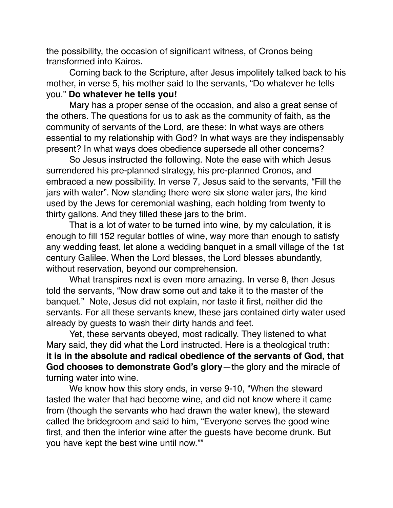the possibility, the occasion of significant witness, of Cronos being transformed into Kairos.

Coming back to the Scripture, after Jesus impolitely talked back to his mother, in verse 5, his mother said to the servants, "Do whatever he tells you." **Do whatever he tells you!** 

Mary has a proper sense of the occasion, and also a great sense of the others. The questions for us to ask as the community of faith, as the community of servants of the Lord, are these: In what ways are others essential to my relationship with God? In what ways are they indispensably present? In what ways does obedience supersede all other concerns?

So Jesus instructed the following. Note the ease with which Jesus surrendered his pre-planned strategy, his pre-planned Cronos, and embraced a new possibility. In verse 7, Jesus said to the servants, "Fill the jars with water". Now standing there were six stone water jars, the kind used by the Jews for ceremonial washing, each holding from twenty to thirty gallons. And they filled these jars to the brim.

That is a lot of water to be turned into wine, by my calculation, it is enough to fill 152 regular bottles of wine, way more than enough to satisfy any wedding feast, let alone a wedding banquet in a small village of the 1st century Galilee. When the Lord blesses, the Lord blesses abundantly, without reservation, beyond our comprehension.

What transpires next is even more amazing. In verse 8, then Jesus told the servants, "Now draw some out and take it to the master of the banquet." Note, Jesus did not explain, nor taste it first, neither did the servants. For all these servants knew, these jars contained dirty water used already by guests to wash their dirty hands and feet.

Yet, these servants obeyed, most radically. They listened to what Mary said, they did what the Lord instructed. Here is a theological truth: **it is in the absolute and radical obedience of the servants of God, that God chooses to demonstrate God's glory**—the glory and the miracle of turning water into wine.

We know how this story ends, in verse 9-10, "When the steward tasted the water that had become wine, and did not know where it came from (though the servants who had drawn the water knew), the steward called the bridegroom and said to him, "Everyone serves the good wine first, and then the inferior wine after the guests have become drunk. But you have kept the best wine until now.""